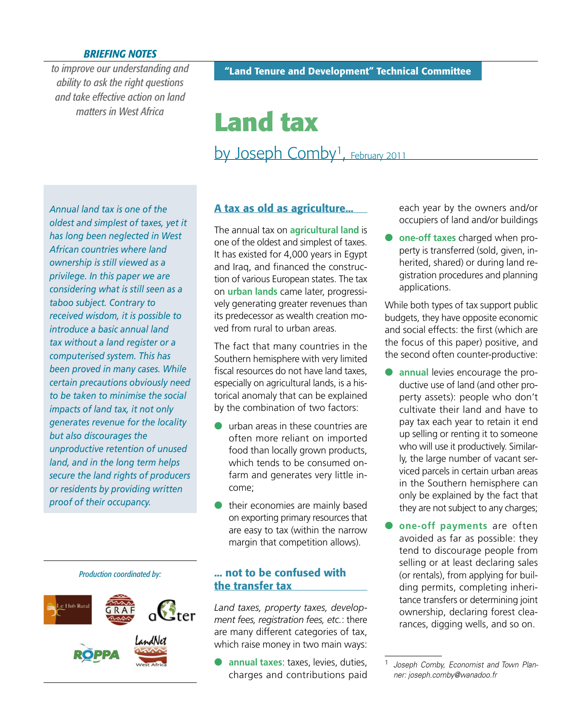## *BRIEFING NOTES*

*to improve our understanding and ability to ask the right questions and take effective action on land matters in West Africa*

# **Land tax** by Joseph Comby<sup>1</sup>, February 2011

*Annual land tax is one of the oldest and simplest of taxes, yet it has long been neglected in West African countries where land ownership is still viewed as a privilege. In this paper we are considering what is still seen as a taboo subject. Contrary to received wisdom, it is possible to introduce a basic annual land tax without a land register or a computerised system. This has been proved in many cases. While certain precautions obviously need to be taken to minimise the social impacts of land tax, it not only generates revenue for the locality but also discourages the unproductive retention of unused land, and in the long term helps secure the land rights of producers or residents by providing written proof of their occupancy.*

*Production coordinated by:*

## **A tax as old as agriculture...**

The annual tax on **agricultural land** is one of the oldest and simplest of taxes. It has existed for 4,000 years in Egypt and Iraq, and financed the construction of various European states. The tax on **urban lands** came later, progressively generating greater revenues than its predecessor as wealth creation moved from rural to urban areas.

The fact that many countries in the Southern hemisphere with very limited fiscal resources do not have land taxes especially on agricultural lands, is a historical anomaly that can be explained by the combination of two factors:

- urban areas in these countries are often more reliant on imported food than locally grown products, which tends to be consumed onfarm and generates very little income;
- their economies are mainly based on exporting primary resources that are easy to tax (within the narrow margin that competition allows).

## **... not to be confused with the transfer tax**

*Land taxes, property taxes, development fees, registration fees, etc.*: there are many different categories of tax, which raise money in two main ways:

 **annual taxes**: taxes, levies, duties, charges and contributions paid each year by the owners and/or occupiers of land and/or buildings

 **one-off taxes** charged when property is transferred (sold, given, inherited, shared) or during land registration procedures and planning applications.

While both types of tax support public budgets, they have opposite economic and social effects: the first (which are the focus of this paper) positive, and the second often counter-productive:

- **annual** levies encourage the productive use of land (and other property assets): people who don't cultivate their land and have to pay tax each year to retain it end up selling or renting it to someone who will use it productively. Similarly, the large number of vacant serviced parcels in certain urban areas in the Southern hemisphere can only be explained by the fact that they are not subject to any charges;
- **one-off payments** are often avoided as far as possible: they tend to discourage people from selling or at least declaring sales (or rentals), from applying for building permits, completing inheritance transfers or determining joint ownership, declaring forest clearances, digging wells, and so on.

<sup>1</sup> *Joseph Comby, Economist and Town Planner: joseph.comby@wanadoo.fr*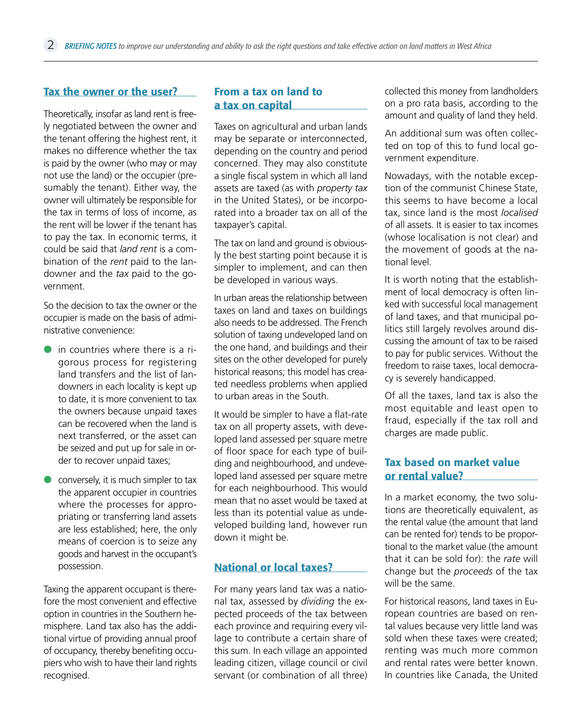#### **Tax the owner or the user?**

Theoretically, insofar as land rent is freely negotiated between the owner and the tenant offering the highest rent, it makes no difference whether the tax is paid by the owner (who may or may not use the land) or the occupier (presumably the tenant). Either way, the owner will ultimately be responsible for the tax in terms of loss of income, as the rent will be lower if the tenant has to pay the tax. In economic terms, it could be said that *land rent* is a combination of the *rent* paid to the landowner and the *tax* paid to the government.

So the decision to tax the owner or the occupier is made on the basis of administrative convenience:

- in countries where there is a rigorous process for registering land transfers and the list of landowners in each locality is kept up to date, it is more convenient to tax the owners because unpaid taxes can be recovered when the land is next transferred, or the asset can be seized and put up for sale in order to recover unpaid taxes;
- conversely, it is much simpler to tax the apparent occupier in countries where the processes for appropriating or transferring land assets are less established; here, the only means of coercion is to seize any goods and harvest in the occupant's possession.

Taxing the apparent occupant is therefore the most convenient and effective option in countries in the Southern hemisphere. Land tax also has the additional virtue of providing annual proof of occupancy, thereby benefiting occupiers who wish to have their land rights recognised.

## **From a tax on land to a tax on capital**

Taxes on agricultural and urban lands may be separate or interconnected, depending on the country and period concerned. They may also constitute a single fiscal system in which all land assets are taxed (as with *property tax*  in the United States), or be incorporated into a broader tax on all of the taxpayer's capital.

The tax on land and ground is obviously the best starting point because it is simpler to implement, and can then be developed in various ways.

In urban areas the relationship between taxes on land and taxes on buildings also needs to be addressed. The French solution of taxing undeveloped land on the one hand, and buildings and their sites on the other developed for purely historical reasons; this model has created needless problems when applied to urban areas in the South.

It would be simpler to have a flat-rate tax on all property assets, with developed land assessed per square metre of floor space for each type of building and neighbourhood, and undeveloped land assessed per square metre for each neighbourhood. This would mean that no asset would be taxed at less than its potential value as undeveloped building land, however run down it might be.

## **National or local taxes?**

For many years land tax was a national tax, assessed by *dividing* the expected proceeds of the tax between each province and requiring every village to contribute a certain share of this sum. In each village an appointed leading citizen, village council or civil servant (or combination of all three) collected this money from landholders on a pro rata basis, according to the amount and quality of land they held.

An additional sum was often collected on top of this to fund local government expenditure.

Nowadays, with the notable exception of the communist Chinese State, this seems to have become a local tax, since land is the most *localised* of all assets. It is easier to tax incomes (whose localisation is not clear) and the movement of goods at the national level.

It is worth noting that the establishment of local democracy is often linked with successful local management of land taxes, and that municipal politics still largely revolves around discussing the amount of tax to be raised to pay for public services. Without the freedom to raise taxes, local democracy is severely handicapped.

Of all the taxes, land tax is also the most equitable and least open to fraud, especially if the tax roll and charges are made public.

## **Tax based on market value or rental value?**

In a market economy, the two solutions are theoretically equivalent, as the rental value (the amount that land can be rented for) tends to be proportional to the market value (the amount that it can be sold for): the *rate* will change but the *proceeds* of the tax will be the same.

For historical reasons, land taxes in European countries are based on rental values because very little land was sold when these taxes were created; renting was much more common and rental rates were better known. In countries like Canada, the United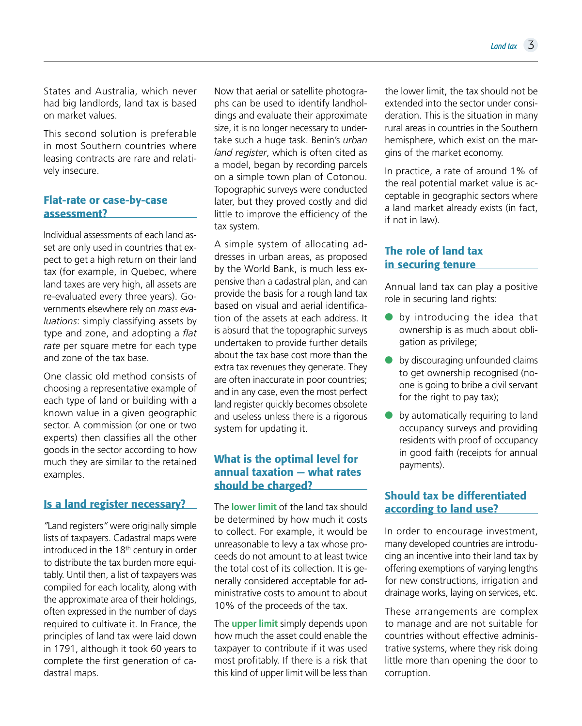States and Australia, which never had big landlords, land tax is based on market values.

This second solution is preferable in most Southern countries where leasing contracts are rare and relatively insecure.

# **Flat-rate or case-by-case assessment?**

Individual assessments of each land asset are only used in countries that expect to get a high return on their land tax (for example, in Quebec, where land taxes are very high, all assets are re-evaluated every three years). Governments elsewhere rely on *mass evaluations*: simply classifying assets by type and zone, and adopting a *flat rate* per square metre for each type and zone of the tax base.

One classic old method consists of choosing a representative example of each type of land or building with a known value in a given geographic sector. A commission (or one or two experts) then classifies all the other goods in the sector according to how much they are similar to the retained examples.

## **Is a land register necessary?**

*"*Land registers*"* were originally simple lists of taxpayers. Cadastral maps were introduced in the 18th century in order to distribute the tax burden more equitably. Until then, a list of taxpayers was compiled for each locality, along with the approximate area of their holdings, often expressed in the number of days required to cultivate it. In France, the principles of land tax were laid down in 1791, although it took 60 years to complete the first generation of cadastral maps.

Now that aerial or satellite photographs can be used to identify landholdings and evaluate their approximate size, it is no longer necessary to undertake such a huge task. Benin's *urban land register*, which is often cited as a model, began by recording parcels on a simple town plan of Cotonou. Topographic surveys were conducted later, but they proved costly and did little to improve the efficiency of the tax system.

A simple system of allocating addresses in urban areas, as proposed by the World Bank, is much less expensive than a cadastral plan, and can provide the basis for a rough land tax based on visual and aerial identification of the assets at each address. It is absurd that the topographic surveys undertaken to provide further details about the tax base cost more than the extra tax revenues they generate. They are often inaccurate in poor countries; and in any case, even the most perfect land register quickly becomes obsolete and useless unless there is a rigorous system for updating it.

## **What is the optimal level for annual taxation — what rates should be charged?**

The **lower limit** of the land tax should be determined by how much it costs to collect. For example, it would be unreasonable to levy a tax whose proceeds do not amount to at least twice the total cost of its collection. It is generally considered acceptable for administrative costs to amount to about 10% of the proceeds of the tax.

The **upper limit** simply depends upon how much the asset could enable the taxpayer to contribute if it was used most profitably. If there is a risk that this kind of upper limit will be less than

the lower limit, the tax should not be extended into the sector under consideration. This is the situation in many rural areas in countries in the Southern hemisphere, which exist on the margins of the market economy.

In practice, a rate of around 1% of the real potential market value is acceptable in geographic sectors where a land market already exists (in fact, if not in law).

# **The role of land tax in securing tenure**

Annual land tax can play a positive role in securing land rights:

- **by introducing the idea that** ownership is as much about obligation as privilege;
- by discouraging unfounded claims to get ownership recognised (noone is going to bribe a civil servant for the right to pay tax);
- **•** by automatically requiring to land occupancy surveys and providing residents with proof of occupancy in good faith (receipts for annual payments).

# **Should tax be differentiated according to land use?**

In order to encourage investment, many developed countries are introducing an incentive into their land tax by offering exemptions of varying lengths for new constructions, irrigation and drainage works, laying on services, etc.

These arrangements are complex to manage and are not suitable for countries without effective administrative systems, where they risk doing little more than opening the door to corruption.